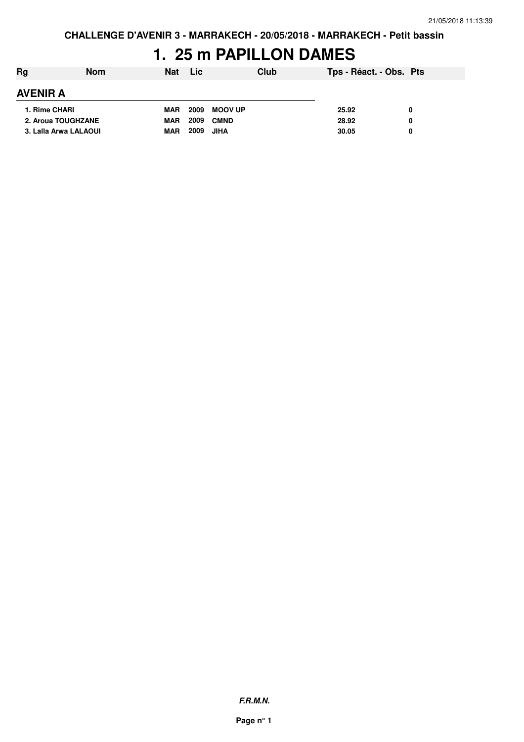## **1. 25 m PAPILLON DAMES**

| Rg              | <b>Nom</b>            | <b>Nat</b> | <b>Lic</b> | Club           | Tps - Réact. - Obs. Pts |  |
|-----------------|-----------------------|------------|------------|----------------|-------------------------|--|
| <b>AVENIR A</b> |                       |            |            |                |                         |  |
| 1. Rime CHARI   |                       | <b>MAR</b> | 2009       | <b>MOOV UP</b> | 25.92                   |  |
|                 | 2. Aroua TOUGHZANE    | <b>MAR</b> | 2009       | <b>CMND</b>    | 28.92                   |  |
|                 | 3. Lalla Arwa LALAOUI | <b>MAR</b> | 2009       | <b>JIHA</b>    | 30.05                   |  |

**F.R.M.N.**

**Page n° 1**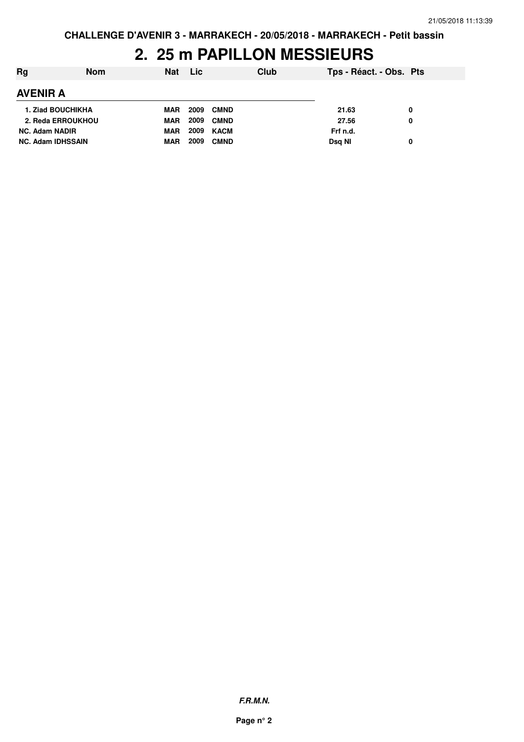## **2. 25 m PAPILLON MESSIEURS**

| Rg                       | <b>Nom</b> |            | Nat Lic |             | Club | Tps - Réact. - Obs. Pts |   |
|--------------------------|------------|------------|---------|-------------|------|-------------------------|---|
| <b>AVENIR A</b>          |            |            |         |             |      |                         |   |
| <b>1. Ziad BOUCHIKHA</b> |            | <b>MAR</b> | 2009    | <b>CMND</b> |      | 21.63                   | 0 |
| 2. Reda ERROUKHOU        |            | <b>MAR</b> | 2009    | <b>CMND</b> |      | 27.56                   | 0 |
| <b>NC. Adam NADIR</b>    |            | <b>MAR</b> | 2009    | KACM        |      | Frf n.d.                |   |
| <b>NC. Adam IDHSSAIN</b> |            | <b>MAR</b> | 2009    | <b>CMND</b> |      | Dsg NI                  | 0 |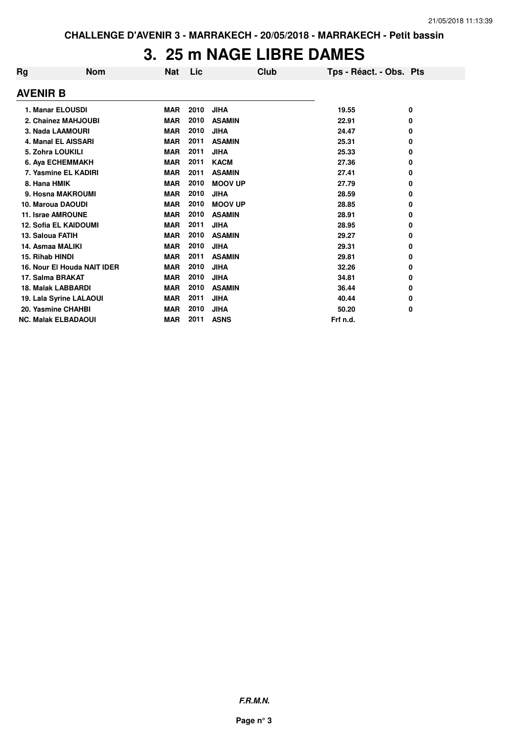#### **3. 25 m NAGE LIBRE DAMES**

| Rg                         | <b>Nom</b>                   | <b>Nat</b> | Lic  | Club           | Tps - Réact. - Obs. Pts |   |
|----------------------------|------------------------------|------------|------|----------------|-------------------------|---|
| <b>AVENIR B</b>            |                              |            |      |                |                         |   |
| 1. Manar ELOUSDI           |                              | <b>MAR</b> | 2010 | <b>JIHA</b>    | 19.55                   | 0 |
|                            | 2. Chainez MAHJOUBI          | <b>MAR</b> | 2010 | <b>ASAMIN</b>  | 22.91                   | 0 |
| 3. Nada LAAMOURI           |                              | <b>MAR</b> | 2010 | <b>JIHA</b>    | 24.47                   | 0 |
|                            | 4. Manal EL AISSARI          | <b>MAR</b> | 2011 | <b>ASAMIN</b>  | 25.31                   | 0 |
| 5. Zohra LOUKILI           |                              | <b>MAR</b> | 2011 | <b>JIHA</b>    | 25.33                   | 0 |
|                            | 6. Aya ECHEMMAKH             | <b>MAR</b> | 2011 | <b>KACM</b>    | 27.36                   | 0 |
|                            | 7. Yasmine EL KADIRI         | <b>MAR</b> | 2011 | <b>ASAMIN</b>  | 27.41                   | 0 |
| 8. Hana HMIK               |                              | <b>MAR</b> | 2010 | <b>MOOV UP</b> | 27.79                   | 0 |
|                            | 9. Hosna MAKROUMI            | <b>MAR</b> | 2010 | <b>JIHA</b>    | 28.59                   | 0 |
| 10. Maroua DAOUDI          |                              | <b>MAR</b> | 2010 | <b>MOOV UP</b> | 28.85                   | 0 |
| 11. Israe AMROUNE          |                              | <b>MAR</b> | 2010 | <b>ASAMIN</b>  | 28.91                   | 0 |
|                            | <b>12. Sofia EL KAIDOUMI</b> | <b>MAR</b> | 2011 | <b>JIHA</b>    | 28.95                   | 0 |
| 13. Saloua FATIH           |                              | <b>MAR</b> | 2010 | <b>ASAMIN</b>  | 29.27                   | 0 |
| 14. Asmaa MALIKI           |                              | <b>MAR</b> | 2010 | <b>JIHA</b>    | 29.31                   | 0 |
| 15. Rihab HINDI            |                              | <b>MAR</b> | 2011 | <b>ASAMIN</b>  | 29.81                   | 0 |
|                            | 16. Nour El Houda NAIT IDER  | <b>MAR</b> | 2010 | <b>JIHA</b>    | 32.26                   | 0 |
| 17. Salma BRAKAT           |                              | <b>MAR</b> | 2010 | <b>JIHA</b>    | 34.81                   | 0 |
| <b>18. Malak LABBARDI</b>  |                              | <b>MAR</b> | 2010 | <b>ASAMIN</b>  | 36.44                   | 0 |
|                            | 19. Lala Syrine LALAOUI      | <b>MAR</b> | 2011 | <b>JIHA</b>    | 40.44                   | 0 |
| 20. Yasmine CHAHBI         |                              | <b>MAR</b> | 2010 | <b>JIHA</b>    | 50.20                   | 0 |
| <b>NC. Malak ELBADAOUI</b> |                              | <b>MAR</b> | 2011 | <b>ASNS</b>    | Frf n.d.                |   |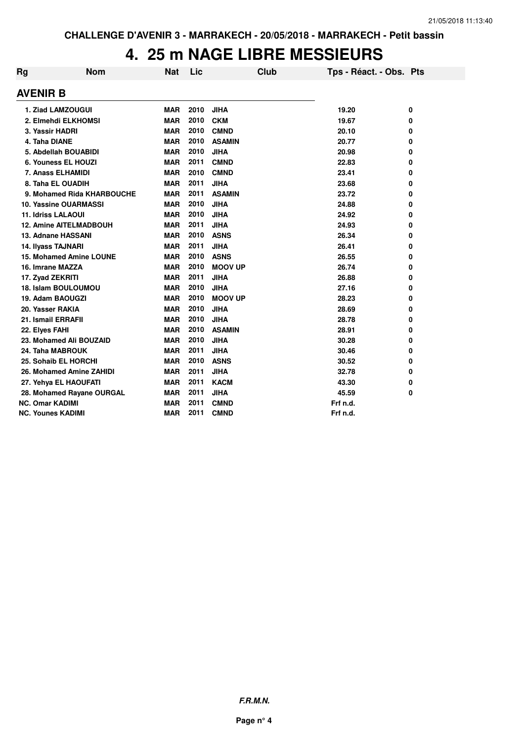#### **4. 25 m NAGE LIBRE MESSIEURS**

| Rg              | <b>Nom</b>                     | Nat        | Lic  | Club           | Tps - Réact. - Obs. Pts |   |
|-----------------|--------------------------------|------------|------|----------------|-------------------------|---|
| <b>AVENIR B</b> |                                |            |      |                |                         |   |
|                 | 1. Ziad LAMZOUGUI              | <b>MAR</b> | 2010 | <b>JIHA</b>    | 19.20                   | 0 |
|                 | 2. Elmehdi ELKHOMSI            | <b>MAR</b> | 2010 | <b>CKM</b>     | 19.67                   | 0 |
|                 | 3. Yassir HADRI                | <b>MAR</b> | 2010 | <b>CMND</b>    | 20.10                   | 0 |
|                 | 4. Taha DIANE                  | <b>MAR</b> | 2010 | <b>ASAMIN</b>  | 20.77                   | 0 |
|                 | 5. Abdellah BOUABIDI           | <b>MAR</b> | 2010 | <b>JIHA</b>    | 20.98                   | 0 |
|                 | 6. Youness EL HOUZI            | <b>MAR</b> | 2011 | <b>CMND</b>    | 22.83                   | 0 |
|                 | 7. Anass ELHAMIDI              | <b>MAR</b> | 2010 | <b>CMND</b>    | 23.41                   | 0 |
|                 | 8. Taha EL OUADIH              | <b>MAR</b> | 2011 | <b>JIHA</b>    | 23.68                   | 0 |
|                 | 9. Mohamed Rida KHARBOUCHE     | <b>MAR</b> | 2011 | <b>ASAMIN</b>  | 23.72                   | 0 |
|                 | 10. Yassine OUARMASSI          | <b>MAR</b> | 2010 | <b>JIHA</b>    | 24.88                   | 0 |
|                 | 11. Idriss LALAOUI             | <b>MAR</b> | 2010 | <b>JIHA</b>    | 24.92                   | 0 |
|                 | <b>12. Amine AITELMADBOUH</b>  | <b>MAR</b> | 2011 | <b>JIHA</b>    | 24.93                   | 0 |
|                 | 13. Adnane HASSANI             | <b>MAR</b> | 2010 | <b>ASNS</b>    | 26.34                   | 0 |
|                 | 14. Ilyass TAJNARI             | <b>MAR</b> | 2011 | <b>JIHA</b>    | 26.41                   | 0 |
|                 | <b>15. Mohamed Amine LOUNE</b> | <b>MAR</b> | 2010 | <b>ASNS</b>    | 26.55                   | 0 |
|                 | 16. Imrane MAZZA               | <b>MAR</b> | 2010 | <b>MOOV UP</b> | 26.74                   | 0 |
|                 | 17. Zyad ZEKRITI               | <b>MAR</b> | 2011 | <b>JIHA</b>    | 26.88                   | 0 |
|                 | <b>18. Islam BOULOUMOU</b>     | <b>MAR</b> | 2010 | <b>JIHA</b>    | 27.16                   | 0 |
|                 | 19. Adam BAOUGZI               | <b>MAR</b> | 2010 | <b>MOOV UP</b> | 28.23                   | 0 |
|                 | 20. Yasser RAKIA               | <b>MAR</b> | 2010 | <b>JIHA</b>    | 28.69                   | 0 |
|                 | 21. Ismail ERRAFII             | <b>MAR</b> | 2010 | <b>JIHA</b>    | 28.78                   | 0 |
| 22. Elyes FAHI  |                                | <b>MAR</b> | 2010 | <b>ASAMIN</b>  | 28.91                   | 0 |
|                 | 23. Mohamed Ali BOUZAID        | <b>MAR</b> | 2010 | <b>JIHA</b>    | 30.28                   | 0 |
|                 | 24. Taha MABROUK               | <b>MAR</b> | 2011 | <b>JIHA</b>    | 30.46                   | 0 |
|                 | 25. Sohaib EL HORCHI           | <b>MAR</b> | 2010 | <b>ASNS</b>    | 30.52                   | 0 |
|                 | 26. Mohamed Amine ZAHIDI       | <b>MAR</b> | 2011 | <b>JIHA</b>    | 32.78                   | 0 |
|                 | 27. Yehya EL HAOUFATI          | <b>MAR</b> | 2011 | <b>KACM</b>    | 43.30                   | 0 |
|                 | 28. Mohamed Rayane OURGAL      | <b>MAR</b> | 2011 | <b>JIHA</b>    | 45.59                   | 0 |
|                 | <b>NC. Omar KADIMI</b>         | <b>MAR</b> | 2011 | <b>CMND</b>    | Frf n.d.                |   |
|                 | NC. Younes KADIMI              | <b>MAR</b> | 2011 | <b>CMND</b>    | Frf n.d.                |   |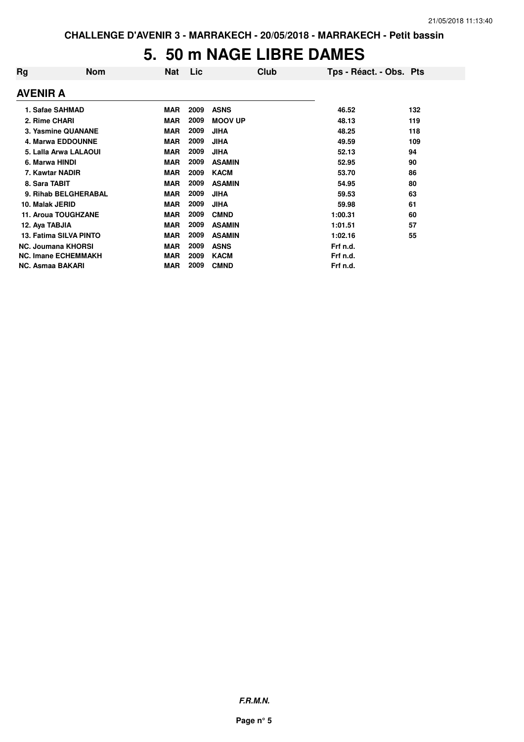#### **5. 50 m NAGE LIBRE DAMES**

| Rg                      | <b>Nom</b>                 | Nat        | Lic  | Club           | Tps - Réact. - Obs. Pts |     |
|-------------------------|----------------------------|------------|------|----------------|-------------------------|-----|
| <b>AVENIR A</b>         |                            |            |      |                |                         |     |
| 1. Safae SAHMAD         |                            | <b>MAR</b> | 2009 | <b>ASNS</b>    | 46.52                   | 132 |
| 2. Rime CHARI           |                            | <b>MAR</b> | 2009 | <b>MOOV UP</b> | 48.13                   | 119 |
|                         | 3. Yasmine QUANANE         | <b>MAR</b> | 2009 | <b>JIHA</b>    | 48.25                   | 118 |
|                         | <b>4. Marwa EDDOUNNE</b>   | <b>MAR</b> | 2009 | <b>JIHA</b>    | 49.59                   | 109 |
|                         | 5. Lalla Arwa LALAOUI      | <b>MAR</b> | 2009 | <b>JIHA</b>    | 52.13                   | 94  |
| 6. Marwa HINDI          |                            | <b>MAR</b> | 2009 | <b>ASAMIN</b>  | 52.95                   | 90  |
| 7. Kawtar NADIR         |                            | <b>MAR</b> | 2009 | <b>KACM</b>    | 53.70                   | 86  |
| 8. Sara TABIT           |                            | <b>MAR</b> | 2009 | <b>ASAMIN</b>  | 54.95                   | 80  |
|                         | 9. Rihab BELGHERABAL       | <b>MAR</b> | 2009 | <b>JIHA</b>    | 59.53                   | 63  |
| 10. Malak JERID         |                            | <b>MAR</b> | 2009 | <b>JIHA</b>    | 59.98                   | 61  |
|                         | <b>11. Aroua TOUGHZANE</b> | <b>MAR</b> | 2009 | <b>CMND</b>    | 1:00.31                 | 60  |
| 12. Aya TABJIA          |                            | <b>MAR</b> | 2009 | <b>ASAMIN</b>  | 1:01.51                 | 57  |
|                         | 13. Fatima SILVA PINTO     | <b>MAR</b> | 2009 | <b>ASAMIN</b>  | 1:02.16                 | 55  |
|                         | <b>NC. Joumana KHORSI</b>  | <b>MAR</b> | 2009 | <b>ASNS</b>    | Frf n.d.                |     |
|                         | <b>NC. Imane ECHEMMAKH</b> | <b>MAR</b> | 2009 | <b>KACM</b>    | Frf n.d.                |     |
| <b>NC. Asmaa BAKARI</b> |                            | <b>MAR</b> | 2009 | <b>CMND</b>    | Frf n.d.                |     |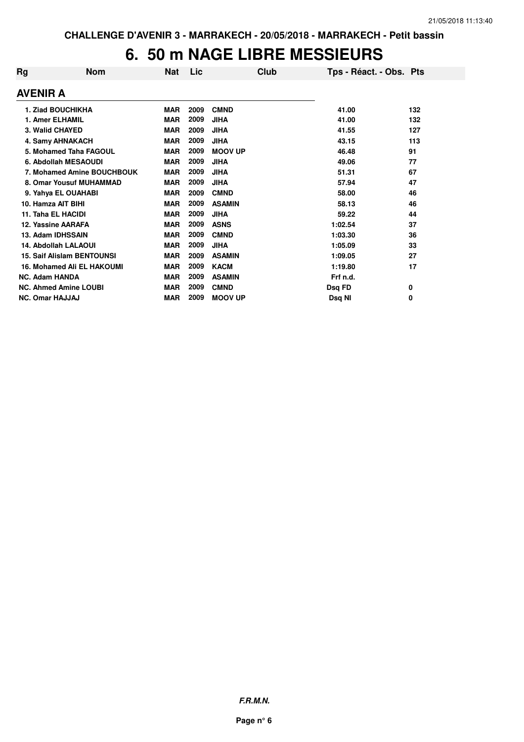#### **6. 50 m NAGE LIBRE MESSIEURS**

| Rg                                | <b>Nom</b> | Nat        | Lic  | Club           | Tps - Réact. - Obs. Pts |     |
|-----------------------------------|------------|------------|------|----------------|-------------------------|-----|
| <b>AVENIR A</b>                   |            |            |      |                |                         |     |
| 1. Ziad BOUCHIKHA                 |            | <b>MAR</b> | 2009 | <b>CMND</b>    | 41.00                   | 132 |
| 1. Amer ELHAMIL                   |            | <b>MAR</b> | 2009 | <b>JIHA</b>    | 41.00                   | 132 |
| 3. Walid CHAYED                   |            | <b>MAR</b> | 2009 | <b>JIHA</b>    | 41.55                   | 127 |
| 4. Samy AHNAKACH                  |            | <b>MAR</b> | 2009 | <b>JIHA</b>    | 43.15                   | 113 |
| 5. Mohamed Taha FAGOUL            |            | <b>MAR</b> | 2009 | <b>MOOV UP</b> | 46.48                   | 91  |
| 6. Abdollah MESAOUDI              |            | <b>MAR</b> | 2009 | <b>JIHA</b>    | 49.06                   | 77  |
| 7. Mohamed Amine BOUCHBOUK        |            | <b>MAR</b> | 2009 | <b>JIHA</b>    | 51.31                   | 67  |
| 8. Omar Yousuf MUHAMMAD           |            | <b>MAR</b> | 2009 | <b>JIHA</b>    | 57.94                   | 47  |
| 9. Yahya EL OUAHABI               |            | <b>MAR</b> | 2009 | <b>CMND</b>    | 58.00                   | 46  |
| 10. Hamza AIT BIHI                |            | <b>MAR</b> | 2009 | <b>ASAMIN</b>  | 58.13                   | 46  |
| 11. Taha EL HACIDI                |            | <b>MAR</b> | 2009 | <b>JIHA</b>    | 59.22                   | 44  |
| 12. Yassine AARAFA                |            | <b>MAR</b> | 2009 | <b>ASNS</b>    | 1:02.54                 | 37  |
| 13. Adam IDHSSAIN                 |            | <b>MAR</b> | 2009 | <b>CMND</b>    | 1:03.30                 | 36  |
| 14. Abdollah LALAOUI              |            | <b>MAR</b> | 2009 | <b>JIHA</b>    | 1:05.09                 | 33  |
| <b>15. Saif Alislam BENTOUNSI</b> |            | <b>MAR</b> | 2009 | <b>ASAMIN</b>  | 1:09.05                 | 27  |
| <b>16. Mohamed Ali EL HAKOUMI</b> |            | <b>MAR</b> | 2009 | <b>KACM</b>    | 1:19.80                 | 17  |
| <b>NC. Adam HANDA</b>             |            | <b>MAR</b> | 2009 | <b>ASAMIN</b>  | Frf n.d.                |     |
| <b>NC. Ahmed Amine LOUBI</b>      |            | <b>MAR</b> | 2009 | <b>CMND</b>    | Dsq FD                  | 0   |
| <b>NC. Omar HAJJAJ</b>            |            | <b>MAR</b> | 2009 | <b>MOOV UP</b> | Dsq NI                  | 0   |

**F.R.M.N.**

**Page n° 6**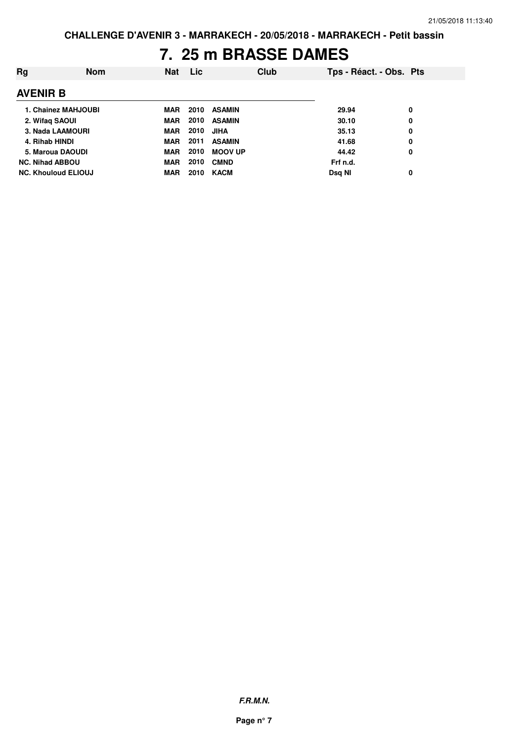#### **7. 25 m BRASSE DAMES**

| Rg                         | <b>Nom</b> | <b>Nat</b> | Lic  |                | Club | Tps - Réact. - Obs. Pts |   |
|----------------------------|------------|------------|------|----------------|------|-------------------------|---|
| <b>AVENIR B</b>            |            |            |      |                |      |                         |   |
| 1. Chainez MAHJOUBI        |            | <b>MAR</b> | 2010 | <b>ASAMIN</b>  |      | 29.94                   | 0 |
| 2. Wifaq SAOUI             |            | <b>MAR</b> | 2010 | <b>ASAMIN</b>  |      | 30.10                   | 0 |
| 3. Nada LAAMOURI           |            | <b>MAR</b> | 2010 | <b>JIHA</b>    |      | 35.13                   | 0 |
| 4. Rihab HINDI             |            | <b>MAR</b> | 2011 | <b>ASAMIN</b>  |      | 41.68                   | 0 |
| 5. Maroua DAOUDI           |            | <b>MAR</b> | 2010 | <b>MOOV UP</b> |      | 44.42                   | 0 |
| <b>NC. Nihad ABBOU</b>     |            | <b>MAR</b> | 2010 | <b>CMND</b>    |      | Frf n.d.                |   |
| <b>NC. Khouloud ELIOUJ</b> |            | <b>MAR</b> | 2010 | <b>KACM</b>    |      | Dsg NI                  | 0 |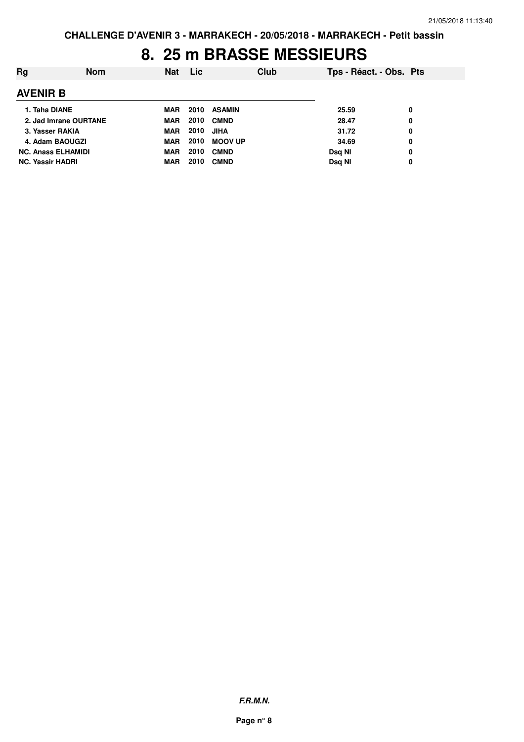#### **8. 25 m BRASSE MESSIEURS**

| Rg                        | <b>Nom</b> | <b>Nat</b> | Lic. | Club           |        | Tps - Réact. - Obs. Pts |
|---------------------------|------------|------------|------|----------------|--------|-------------------------|
| <b>AVENIR B</b>           |            |            |      |                |        |                         |
| 1. Taha DIANE             |            | MAR        | 2010 | <b>ASAMIN</b>  | 25.59  | 0                       |
| 2. Jad Imrane OURTANE     |            | <b>MAR</b> | 2010 | <b>CMND</b>    | 28.47  | 0                       |
| 3. Yasser RAKIA           |            | <b>MAR</b> | 2010 | <b>JIHA</b>    | 31.72  | 0                       |
| 4. Adam BAOUGZI           |            | MAR        | 2010 | <b>MOOV UP</b> | 34.69  | 0                       |
| <b>NC. Anass ELHAMIDI</b> |            | MAR        | 2010 | <b>CMND</b>    | Dsg NI | 0                       |
| <b>NC. Yassir HADRI</b>   |            | <b>MAR</b> | 2010 | <b>CMND</b>    | Dsg NI | 0                       |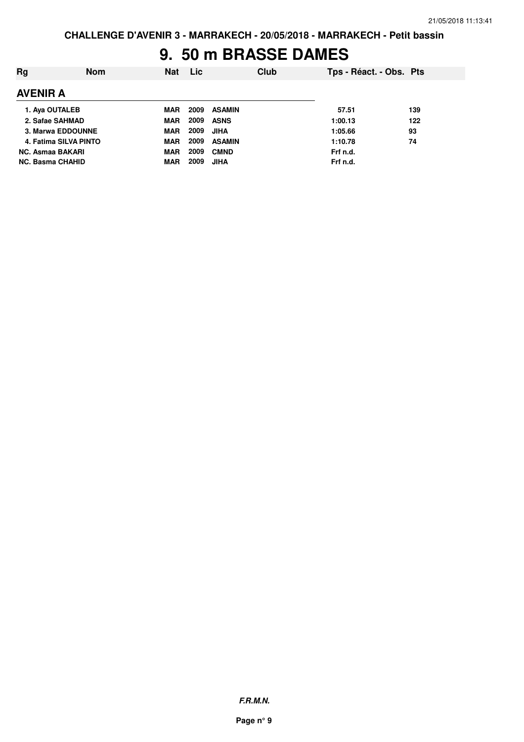#### **9. 50 m BRASSE DAMES**

| Rg                      | <b>Nom</b> | <b>Nat</b> | <b>Lic</b> |               | Club | Tps - Réact. - Obs. Pts |     |
|-------------------------|------------|------------|------------|---------------|------|-------------------------|-----|
| <b>AVENIR A</b>         |            |            |            |               |      |                         |     |
| 1. Aya OUTALEB          |            | <b>MAR</b> | 2009       | <b>ASAMIN</b> |      | 57.51                   | 139 |
| 2. Safae SAHMAD         |            | MAR        | 2009       | <b>ASNS</b>   |      | 1:00.13                 | 122 |
| 3. Marwa EDDOUNNE       |            | <b>MAR</b> | 2009       | JIHA          |      | 1:05.66                 | 93  |
| 4. Fatima SILVA PINTO   |            | MAR        | 2009       | <b>ASAMIN</b> |      | 1:10.78                 | 74  |
| <b>NC. Asmaa BAKARI</b> |            | <b>MAR</b> | 2009       | <b>CMND</b>   |      | Frf n.d.                |     |
| <b>NC. Basma CHAHID</b> |            | <b>MAR</b> | 2009       | <b>JIHA</b>   |      | Frf n.d.                |     |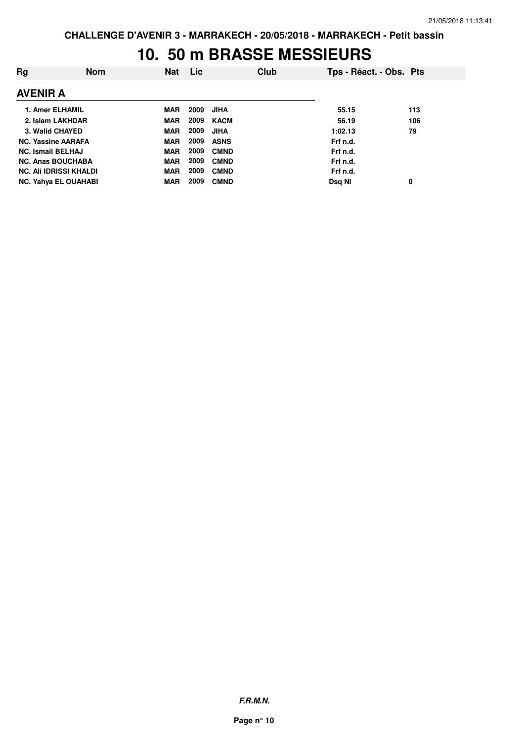#### **10. 50 m BRASSE MESSIEURS**

| Rg                            | <b>Nom</b> | <b>Nat</b> | Lic  |             | Club | Tps - Réact. - Obs. Pts |     |
|-------------------------------|------------|------------|------|-------------|------|-------------------------|-----|
| <b>AVENIR A</b>               |            |            |      |             |      |                         |     |
| 1. Amer ELHAMIL               |            | MAR        | 2009 | JIHA        |      | 55.15                   | 113 |
| 2. Islam LAKHDAR              |            | <b>MAR</b> | 2009 | KACM        |      | 56.19                   | 106 |
| 3. Walid CHAYED               |            | <b>MAR</b> | 2009 | <b>JIHA</b> |      | 1:02.13                 | 79  |
| <b>NC. Yassine AARAFA</b>     |            | <b>MAR</b> | 2009 | <b>ASNS</b> |      | Frf n.d.                |     |
| <b>NC. Ismail BELHAJ</b>      |            | <b>MAR</b> | 2009 | <b>CMND</b> |      | Frf n.d.                |     |
| <b>NC. Anas BOUCHABA</b>      |            | <b>MAR</b> | 2009 | <b>CMND</b> |      | Frf n.d.                |     |
| <b>NC. Ali IDRISSI KHALDI</b> |            | <b>MAR</b> | 2009 | <b>CMND</b> |      | Frf n.d.                |     |
| <b>NC. Yahya EL OUAHABI</b>   |            | <b>MAR</b> | 2009 | <b>CMND</b> |      | Dsg NI                  | 0   |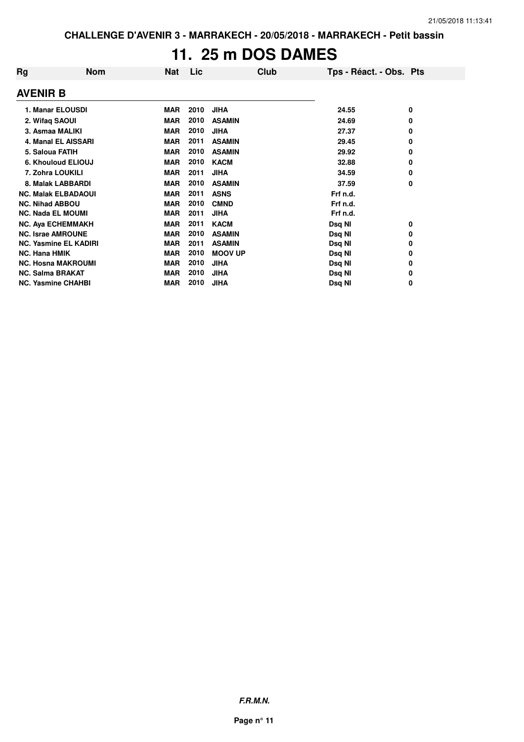# **11. 25 m DOS DAMES**

| Rg                        | <b>Nom</b>                   | <b>Nat</b> | Lic  | Club           | Tps - Réact. - Obs. Pts |   |
|---------------------------|------------------------------|------------|------|----------------|-------------------------|---|
| <b>AVENIR B</b>           |                              |            |      |                |                         |   |
|                           | 1. Manar ELOUSDI             | <b>MAR</b> | 2010 | <b>JIHA</b>    | 24.55                   | 0 |
| 2. Wifaq SAOUI            |                              | <b>MAR</b> | 2010 | <b>ASAMIN</b>  | 24.69                   | 0 |
| 3. Asmaa MALIKI           |                              | <b>MAR</b> | 2010 | <b>JIHA</b>    | 27.37                   | 0 |
|                           | 4. Manal EL AISSARI          | <b>MAR</b> | 2011 | <b>ASAMIN</b>  | 29.45                   | 0 |
| 5. Saloua FATIH           |                              | <b>MAR</b> | 2010 | <b>ASAMIN</b>  | 29.92                   | 0 |
|                           | 6. Khouloud ELIOUJ           | <b>MAR</b> | 2010 | <b>KACM</b>    | 32.88                   | 0 |
| 7. Zohra LOUKILI          |                              | <b>MAR</b> | 2011 | <b>JIHA</b>    | 34.59                   | 0 |
|                           | 8. Malak LABBARDI            | <b>MAR</b> | 2010 | <b>ASAMIN</b>  | 37.59                   | 0 |
|                           | <b>NC. Malak ELBADAOUI</b>   | <b>MAR</b> | 2011 | <b>ASNS</b>    | Frf n.d.                |   |
| <b>NC. Nihad ABBOU</b>    |                              | <b>MAR</b> | 2010 | <b>CMND</b>    | Frf n.d.                |   |
| <b>NC. Nada EL MOUMI</b>  |                              | <b>MAR</b> | 2011 | <b>JIHA</b>    | Frf n.d.                |   |
|                           | <b>NC. Aya ECHEMMAKH</b>     | <b>MAR</b> | 2011 | <b>KACM</b>    | Dsq NI                  | 0 |
| <b>NC. Israe AMROUNE</b>  |                              | <b>MAR</b> | 2010 | <b>ASAMIN</b>  | Dsq NI                  | 0 |
|                           | <b>NC. Yasmine EL KADIRI</b> | <b>MAR</b> | 2011 | <b>ASAMIN</b>  | Dsq NI                  | 0 |
| <b>NC. Hana HMIK</b>      |                              | <b>MAR</b> | 2010 | <b>MOOV UP</b> | Dsq NI                  | 0 |
|                           | <b>NC. Hosna MAKROUMI</b>    | <b>MAR</b> | 2010 | <b>JIHA</b>    | Dsq NI                  | 0 |
| <b>NC. Salma BRAKAT</b>   |                              | <b>MAR</b> | 2010 | <b>JIHA</b>    | Dsq NI                  | 0 |
| <b>NC. Yasmine CHAHBI</b> |                              | <b>MAR</b> | 2010 | <b>JIHA</b>    | Dsg NI                  | 0 |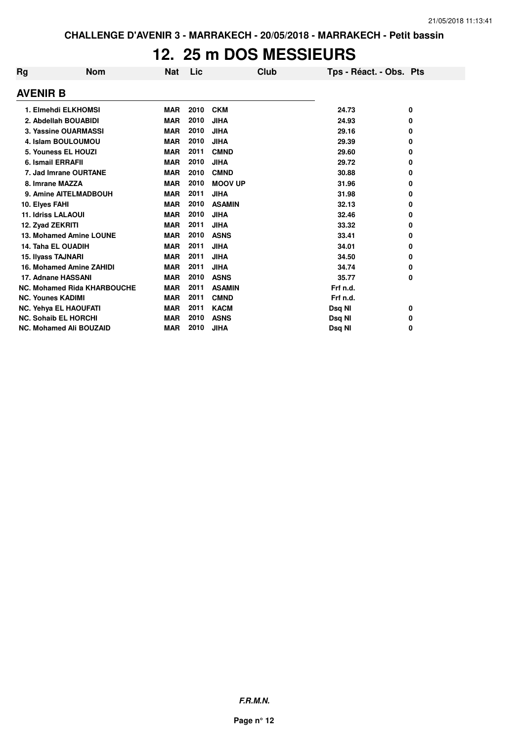#### **12. 25 m DOS MESSIEURS**

| Rg              | <b>Nom</b>                         | <b>Nat</b> | Lic  | Club           | Tps - Réact. - Obs. Pts |   |
|-----------------|------------------------------------|------------|------|----------------|-------------------------|---|
| <b>AVENIR B</b> |                                    |            |      |                |                         |   |
|                 | 1. Elmehdi ELKHOMSI                | <b>MAR</b> | 2010 | <b>CKM</b>     | 24.73                   | 0 |
|                 | 2. Abdellah BOUABIDI               | <b>MAR</b> | 2010 | <b>JIHA</b>    | 24.93                   | 0 |
|                 | 3. Yassine OUARMASSI               | <b>MAR</b> | 2010 | <b>JIHA</b>    | 29.16                   | 0 |
|                 | 4. Islam BOULOUMOU                 | <b>MAR</b> | 2010 | <b>JIHA</b>    | 29.39                   | 0 |
|                 | 5. Youness EL HOUZI                | <b>MAR</b> | 2011 | <b>CMND</b>    | 29.60                   | 0 |
|                 | 6. Ismail ERRAFII                  | <b>MAR</b> | 2010 | <b>JIHA</b>    | 29.72                   | 0 |
|                 | 7. Jad Imrane OURTANE              | <b>MAR</b> | 2010 | <b>CMND</b>    | 30.88                   | 0 |
|                 | 8. Imrane MAZZA                    | <b>MAR</b> | 2010 | <b>MOOV UP</b> | 31.96                   | 0 |
|                 | 9. Amine AITELMADBOUH              | <b>MAR</b> | 2011 | <b>JIHA</b>    | 31.98                   | 0 |
|                 | 10. Elyes FAHI                     | <b>MAR</b> | 2010 | <b>ASAMIN</b>  | 32.13                   | 0 |
|                 | <b>11. Idriss LALAOUI</b>          | <b>MAR</b> | 2010 | <b>JIHA</b>    | 32.46                   | 0 |
|                 | 12. Zyad ZEKRITI                   | <b>MAR</b> | 2011 | <b>JIHA</b>    | 33.32                   | 0 |
|                 | 13. Mohamed Amine LOUNE            | <b>MAR</b> | 2010 | <b>ASNS</b>    | 33.41                   | 0 |
|                 | <b>14. Taha EL OUADIH</b>          | <b>MAR</b> | 2011 | <b>JIHA</b>    | 34.01                   | 0 |
|                 | 15. Ilyass TAJNARI                 | <b>MAR</b> | 2011 | <b>JIHA</b>    | 34.50                   | 0 |
|                 | 16. Mohamed Amine ZAHIDI           | <b>MAR</b> | 2011 | <b>JIHA</b>    | 34.74                   | 0 |
|                 | 17. Adnane HASSANI                 | <b>MAR</b> | 2010 | <b>ASNS</b>    | 35.77                   | 0 |
|                 | <b>NC. Mohamed Rida KHARBOUCHE</b> | <b>MAR</b> | 2011 | <b>ASAMIN</b>  | Frf n.d.                |   |
|                 | <b>NC. Younes KADIMI</b>           | <b>MAR</b> | 2011 | <b>CMND</b>    | Frf n.d.                |   |
|                 | <b>NC. Yehya EL HAOUFATI</b>       | <b>MAR</b> | 2011 | <b>KACM</b>    | Dsq NI                  | 0 |
|                 | <b>NC. Sohaib EL HORCHI</b>        | <b>MAR</b> | 2010 | <b>ASNS</b>    | Dsq NI                  | 0 |
|                 | <b>NC. Mohamed Ali BOUZAID</b>     | <b>MAR</b> | 2010 | <b>JIHA</b>    | Dsq NI                  | 0 |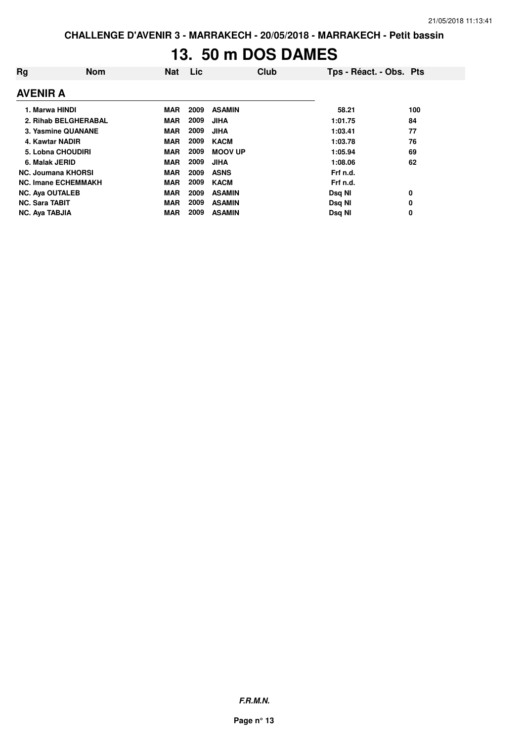# **13. 50 m DOS DAMES**

| Rg              | <b>Nom</b>                 | <b>Nat</b> | Lic  | Club           | Tps - Réact. - Obs. Pts |     |
|-----------------|----------------------------|------------|------|----------------|-------------------------|-----|
| <b>AVENIR A</b> |                            |            |      |                |                         |     |
|                 | 1. Marwa HINDI             | MAR        | 2009 | <b>ASAMIN</b>  | 58.21                   | 100 |
|                 | 2. Rihab BELGHERABAL       | <b>MAR</b> | 2009 | <b>JIHA</b>    | 1:01.75                 | 84  |
|                 | 3. Yasmine QUANANE         | <b>MAR</b> | 2009 | <b>JIHA</b>    | 1:03.41                 | 77  |
|                 | 4. Kawtar NADIR            | <b>MAR</b> | 2009 | <b>KACM</b>    | 1:03.78                 | 76  |
|                 | 5. Lobna CHOUDIRI          | <b>MAR</b> | 2009 | <b>MOOV UP</b> | 1:05.94                 | 69  |
|                 | 6. Malak JERID             | <b>MAR</b> | 2009 | <b>JIHA</b>    | 1:08.06                 | 62  |
|                 | <b>NC. Joumana KHORSI</b>  | <b>MAR</b> | 2009 | <b>ASNS</b>    | Frf n.d.                |     |
|                 | <b>NC. Imane ECHEMMAKH</b> | <b>MAR</b> | 2009 | <b>KACM</b>    | Frf n.d.                |     |
|                 | <b>NC. Aya OUTALEB</b>     | <b>MAR</b> | 2009 | <b>ASAMIN</b>  | Dsg NI                  | 0   |
|                 | <b>NC. Sara TABIT</b>      | <b>MAR</b> | 2009 | <b>ASAMIN</b>  | Dsq NI                  | 0   |
|                 | <b>NC. Aya TABJIA</b>      | <b>MAR</b> | 2009 | <b>ASAMIN</b>  | Dsg NI                  | 0   |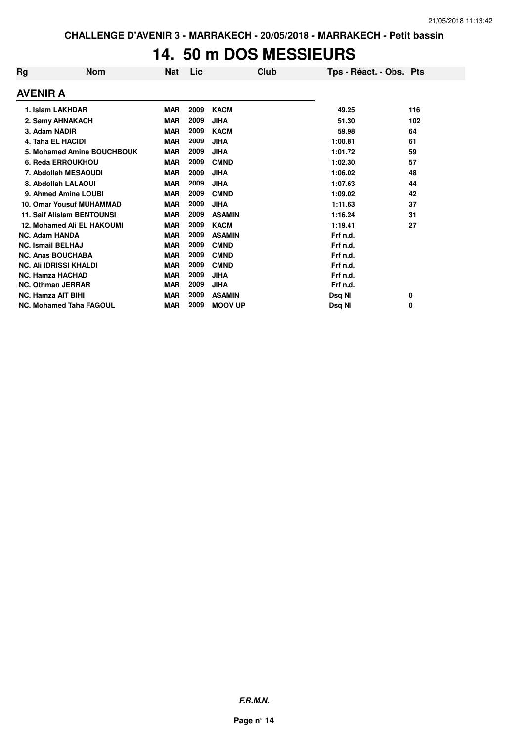## **14. 50 m DOS MESSIEURS**

| Rg       | <b>Nom</b>                        | <b>Nat</b> | Lic  |                | <b>Club</b> | Tps - Réact. - Obs. Pts |     |
|----------|-----------------------------------|------------|------|----------------|-------------|-------------------------|-----|
| AVENIR A |                                   |            |      |                |             |                         |     |
|          | 1. Islam LAKHDAR                  | <b>MAR</b> | 2009 | <b>KACM</b>    |             | 49.25                   | 116 |
|          | 2. Samy AHNAKACH                  | <b>MAR</b> | 2009 | <b>JIHA</b>    |             | 51.30                   | 102 |
|          | 3. Adam NADIR                     | <b>MAR</b> | 2009 | <b>KACM</b>    |             | 59.98                   | 64  |
|          | <b>4. Taha EL HACIDI</b>          | <b>MAR</b> | 2009 | <b>JIHA</b>    |             | 1:00.81                 | 61  |
|          | 5. Mohamed Amine BOUCHBOUK        | <b>MAR</b> | 2009 | <b>JIHA</b>    |             | 1:01.72                 | 59  |
|          | 6. Reda ERROUKHOU                 | <b>MAR</b> | 2009 | <b>CMND</b>    |             | 1:02.30                 | 57  |
|          | 7. Abdollah MESAOUDI              | <b>MAR</b> | 2009 | JIHA           |             | 1:06.02                 | 48  |
|          | 8. Abdollah LALAOUI               | <b>MAR</b> | 2009 | <b>JIHA</b>    |             | 1:07.63                 | 44  |
|          | 9. Ahmed Amine LOUBI              | <b>MAR</b> | 2009 | <b>CMND</b>    |             | 1:09.02                 | 42  |
|          | <b>10. Omar Yousuf MUHAMMAD</b>   | <b>MAR</b> | 2009 | <b>JIHA</b>    |             | 1:11.63                 | 37  |
|          | <b>11. Saif Alislam BENTOUNSI</b> | <b>MAR</b> | 2009 | <b>ASAMIN</b>  |             | 1:16.24                 | 31  |
|          | 12. Mohamed Ali EL HAKOUMI        | <b>MAR</b> | 2009 | <b>KACM</b>    |             | 1:19.41                 | 27  |
|          | <b>NC. Adam HANDA</b>             | <b>MAR</b> | 2009 | <b>ASAMIN</b>  |             | Frf n.d.                |     |
|          | <b>NC. Ismail BELHAJ</b>          | <b>MAR</b> | 2009 | <b>CMND</b>    |             | Frf n.d.                |     |
|          | <b>NC. Anas BOUCHABA</b>          | <b>MAR</b> | 2009 | <b>CMND</b>    |             | Frf n.d.                |     |
|          | <b>NC. Ali IDRISSI KHALDI</b>     | <b>MAR</b> | 2009 | <b>CMND</b>    |             | Frf n.d.                |     |
|          | <b>NC. Hamza HACHAD</b>           | <b>MAR</b> | 2009 | <b>JIHA</b>    |             | Frf n.d.                |     |
|          | <b>NC. Othman JERRAR</b>          | <b>MAR</b> | 2009 | <b>JIHA</b>    |             | Frf n.d.                |     |
|          | <b>NC. Hamza AIT BIHI</b>         | <b>MAR</b> | 2009 | <b>ASAMIN</b>  |             | Dsq NI                  | 0   |
|          | <b>NC. Mohamed Taha FAGOUL</b>    | <b>MAR</b> | 2009 | <b>MOOV UP</b> |             | Dsq NI                  | 0   |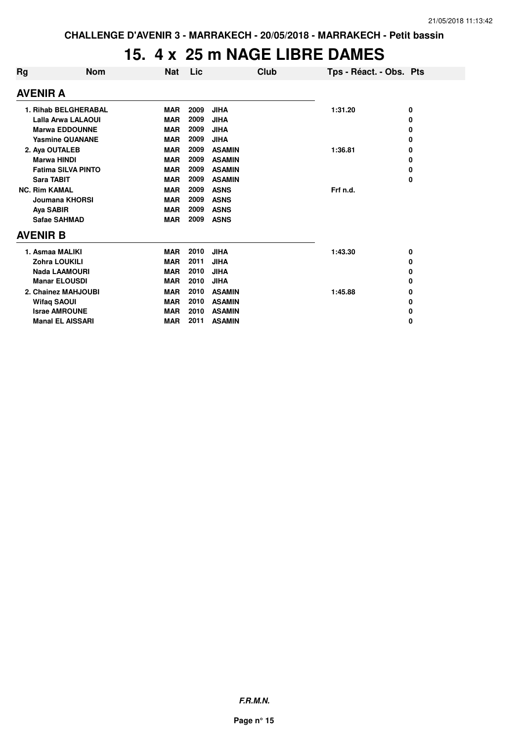#### **15. 4 x 25 m NAGE LIBRE DAMES**

| Rg                   | <b>Nom</b>                | Nat        | Lic  | Club          |          | Tps - Réact. - Obs. Pts |
|----------------------|---------------------------|------------|------|---------------|----------|-------------------------|
|                      | <b>AVENIR A</b>           |            |      |               |          |                         |
|                      | 1. Rihab BELGHERABAL      | <b>MAR</b> | 2009 | <b>JIHA</b>   | 1:31.20  | 0                       |
|                      | <b>Lalla Arwa LALAOUI</b> | <b>MAR</b> | 2009 | <b>JIHA</b>   |          | 0                       |
|                      | <b>Marwa EDDOUNNE</b>     | <b>MAR</b> | 2009 | <b>JIHA</b>   |          | 0                       |
|                      | <b>Yasmine QUANANE</b>    | <b>MAR</b> | 2009 | <b>JIHA</b>   |          | 0                       |
|                      | 2. Aya OUTALEB            | <b>MAR</b> | 2009 | <b>ASAMIN</b> | 1:36.81  | 0                       |
|                      | <b>Marwa HINDI</b>        | <b>MAR</b> | 2009 | <b>ASAMIN</b> |          | 0                       |
|                      | <b>Fatima SILVA PINTO</b> | <b>MAR</b> | 2009 | <b>ASAMIN</b> |          | 0                       |
|                      | <b>Sara TABIT</b>         | <b>MAR</b> | 2009 | <b>ASAMIN</b> |          | 0                       |
| <b>NC. Rim KAMAL</b> |                           | <b>MAR</b> | 2009 | <b>ASNS</b>   | Frf n.d. |                         |
|                      | <b>Joumana KHORSI</b>     | <b>MAR</b> | 2009 | <b>ASNS</b>   |          |                         |
|                      | Aya SABIR                 | <b>MAR</b> | 2009 | <b>ASNS</b>   |          |                         |
|                      | Safae SAHMAD              | <b>MAR</b> | 2009 | <b>ASNS</b>   |          |                         |
|                      | <b>AVENIR B</b>           |            |      |               |          |                         |
|                      | 1. Asmaa MALIKI           | <b>MAR</b> | 2010 | <b>JIHA</b>   | 1:43.30  | 0                       |
|                      | <b>Zohra LOUKILI</b>      | <b>MAR</b> | 2011 | <b>JIHA</b>   |          | 0                       |
|                      | <b>Nada LAAMOURI</b>      | <b>MAR</b> | 2010 | <b>JIHA</b>   |          | 0                       |
|                      | <b>Manar ELOUSDI</b>      | <b>MAR</b> | 2010 | <b>JIHA</b>   |          | 0                       |
|                      | 2. Chainez MAHJOUBI       | <b>MAR</b> | 2010 | <b>ASAMIN</b> | 1:45.88  | 0                       |
|                      | <b>Wifaq SAOUI</b>        | <b>MAR</b> | 2010 | <b>ASAMIN</b> |          | 0                       |
|                      | <b>Israe AMROUNE</b>      | <b>MAR</b> | 2010 | <b>ASAMIN</b> |          | 0                       |
|                      | <b>Manal EL AISSARI</b>   | <b>MAR</b> | 2011 | <b>ASAMIN</b> |          | 0                       |